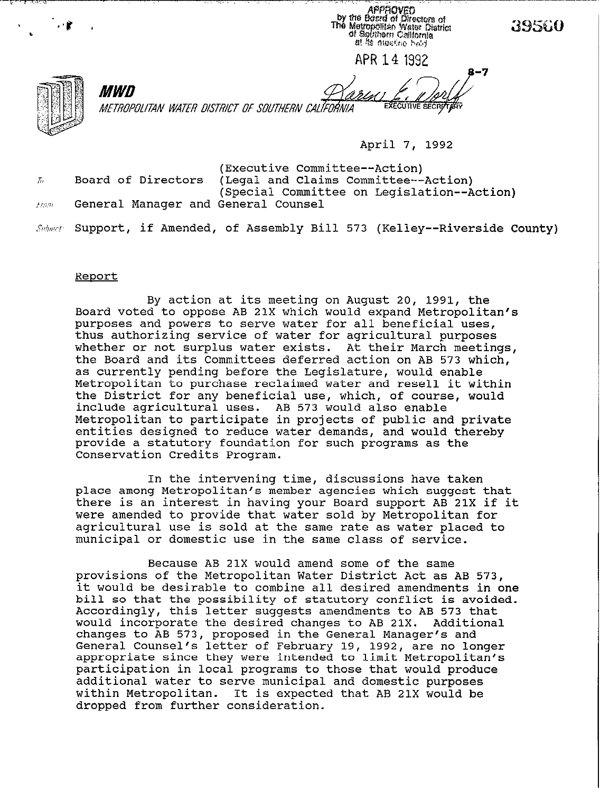APPROVED<br>by the Board of Directors of The Metropolitan Water District<br>The Metropolitan Water District<br>of Solvitern California at its niechno hald

39560

7

APR14 1992

METROPOLITAN WATER DISTRICT OF SOUTHERN CALIFORNIA

**April 7, 1992** 

**(Executive Committee--Action) 6 Board of Directors (Legal and Claims Committee--Action) (Special Committee on Legislation--Action) ,i:J% General Manager and General Counsel** 

**.%h~n'?. Support, if Amended, of Assembly Bill 573 (Kelley--Riverside County)** 

#### **Reoort**

*MWD* 

**By action at its meeting on August 20, 1991, the Board voted to oppose AB 21X which would expand Metropolitan's purposes and powers to serve water for all beneficial uses, thus authorizing service of water for agricultural purposes whether or not surplus water exists. At their March meetings, the Board and its Committees deferred action on AB 573 which, as currently pending before the Legislature, would enable Metropolitan to purchase reclaimed water and resell it within the District for any beneficial use, which, of course, would include agricultural uses. AB 573 would also enable Metropolitan to participate in projects of public and private entities designed to reduce water demands, and would thereby provide a statutory foundation for such programs as the Conservation Credits Program.** 

**In the intervening time, discussions have taken place among Metropolitan's member agencies which suggest that there is an interest in having your Board support AB 21X if it were amended to provide that water sold by Metropolitan for agricultural use is sold at the same rate as water placed to municipal or domestic use in the same class of service.** 

**Because AB 21X would amend some of the same provisions of the Metropolitan Water District Act as AB 573, it would be desirable to combine all desired amendments in one bill so that the possibility of statutory conflict is avoided. Accordingly, this letter suggests amendments to AB 573 that would incorporate the desired changes to AB 21X. Additional changes to AB 573, proposed in the General Manager's and General Counsel's letter of February 19, 1992, are no longer appropriate since they were intended to limit Metropolitan's participation in local programs to those that would produce additional water to serve municipal and domestic purposes within Metropolitan. It is expected that** AB 21X would be dropped from further consideration.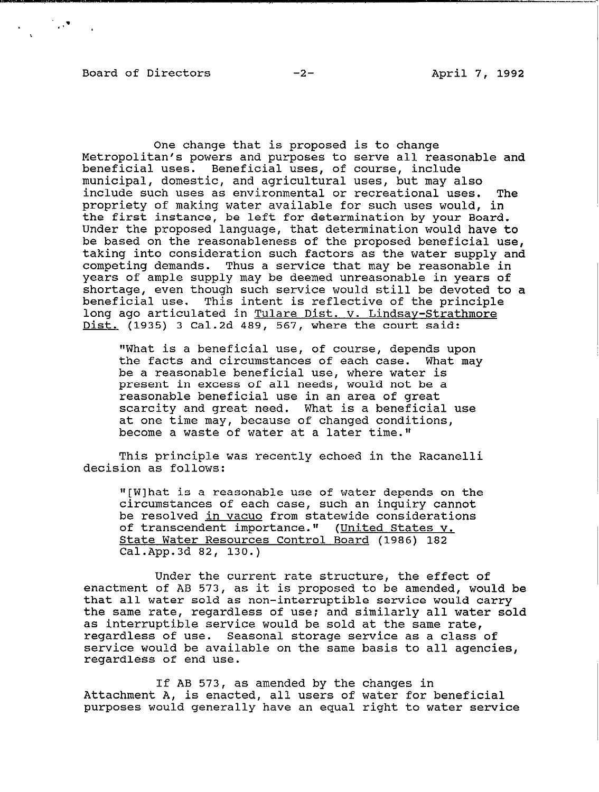$\mathcal{L}^{\text{max}}(\mathcal{L}^{\text{max}})$  . The  $\mathcal{L}^{\text{max}}$ 

One change that is proposed is to change Metropolitan's powers and purposes to serve all reasonable and beneficial uses. Beneficial uses, of course, include municipal, domestic, and agricultural uses, but may also include such uses as environmental or recreational uses. The propriety of making water available for such uses would, in the first instance, be left for determination by your Board. Under the proposed language, that determination would have to be based on the reasonableness of the proposed beneficial use, taking into consideration such factors as the water supply and competing demands. Thus a service that may be reasonable in years of ample supply may be deemed unreasonable in years of shortage, even though such service would still be devoted to a beneficial use. This intent is reflective of the principle long ago articulated in Tulare Dist. v. Lindsay-Strathmore Dist. (1935) 3 Cal.2d 489, 567, where the court said:

"What is a beneficial use, of course, depends upon the facts and circumstances of each case. What may be a reasonable beneficial use, where water is present in excess of all needs, would not be a reasonable beneficial use in an area of great scarcity and great need. What is a beneficial use at one time may, because of changed conditions, become a waste of water at a later time."

This principle was recently echoed in the Racanelli decision as follows:

"[W]hat is a reasonable use of water depends on the circumstances of each case, such an inquiry cannot be resolved in vacua from statewide considerations of transcendent importance." (United States v. State Water Resources Control Board (1986) 182 Cal.App.3d 82, 130.)

Under the current rate structure, the effect of enactment of AB 573, as it is proposed to be amended, would be that all water sold as non-interruptible service would carry the same rate, regardless of use; and similarly all water sold as interruptible service would be sold at the same rate, regardless of use. Seasonal storage service as a class of service would be available on the same basis to all agencies, regardless of end use.

If AB 573, as amended by the changes in Attachment A, is enacted, all users of water for beneficial purposes would generally have an equal right to water service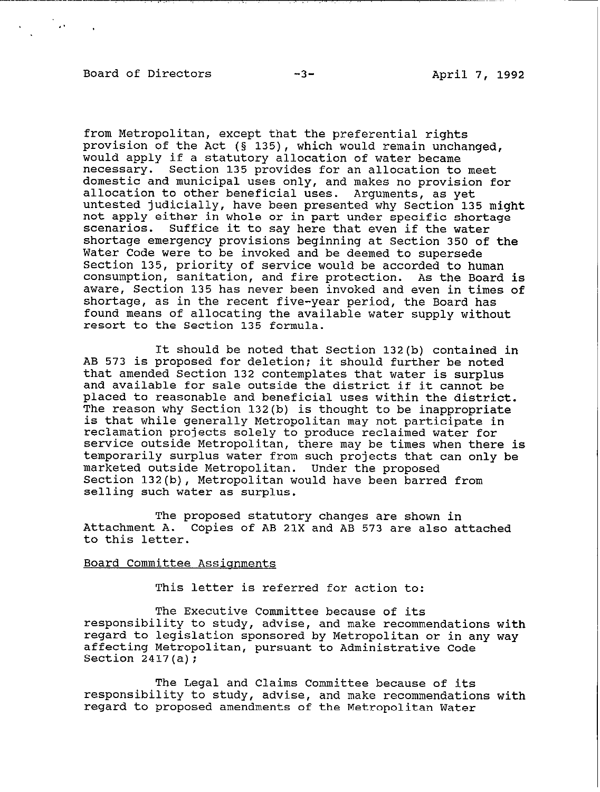# Board of Directors -3- -3- April 7, 1992

'. .

\_\_--.-.--\_--\_- ., ,. .,

from Metropolitan, except that the preferential rights provision of the Act ( $\S$  135), which would remain unchanged, would apply if a statutory allocation of water became necessary. Section 135 provides for an allocation to meet domestic and municipal uses only, and makes no provision for allocation to other beneficial uses. Arguments, as yet untested judicially, have been presented why Section 135 might not apply either in whole or in part under specific shortage scenarios. Suffice it to say here that even if the water shortage emergency provisions beginning at Section 350 of the Water Code were to be invoked and be deemed to supersede Section 135, priority of service would be accorded to human consumption, sanitation, and fire protection. As the Board is aware, Section 135 has never been invoked and even in times of shortage, as in the recent five-year period, the Board has found means of allocating the available water supply without resort to the Section 135 formula.

It should be noted that Section 132(b) contained in AB 573 is proposed for deletion; it should further be noted that amended Section 132 contemplates that water is surplus and available for sale outside the district if it cannot be placed to reasonable and beneficial uses within the district. The reason why Section 132(b) is thought to be inappropriate is that while generally Metropolitan may not participate in reclamation projects solely to produce reclaimed water for service outside Metropolitan, there may be times when there is temporarily surplus water from such projects that can only be marketed outside Metropolitan. Under the proposed Section 132(b), Metropolitan would have been barred from selling such water as surplus.

The proposed statutory changes are shown in Attachment A. Copies of AB 21X and AB 573 are also attached to this letter.

# Board Committee Assignments

This letter is referred for action to:

The Executive Committee because of its responsibility to study, advise, and make recommendations with regard to legislation sponsored by Metropolitan or in any way affecting Metropolitan, pursuant to Administrative Code Section  $2417(a)$ ;

The Legal and Claims Committee because of its responsibility to study, advise, and make recommendations with regard to proposed amendments of the Metropolitan Water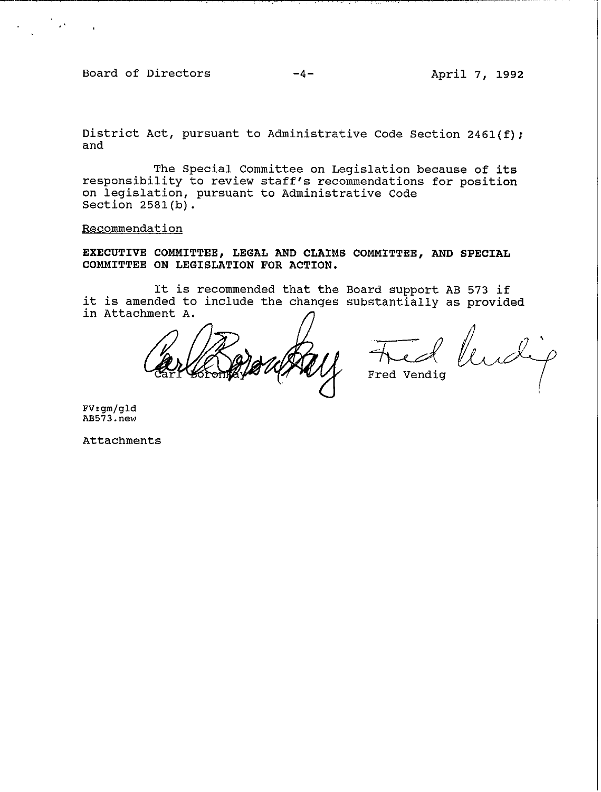**Board of Directors** 

**-4- April 7, 1992** 

**District Act, pursuant to Administrative Code Section 2461(f); and** 

**The Special Committee on Legislation because of its responsibility to review staff's recommendations for position on legislation, pursuant to Administrative Code Section 2581(b).** 

**Recommendation** 

**EXECUTIVE COMMITTEE, LEGAL AND CLAIMS COMMITTEE, AND SPECIAL COMMITTEE ON LEGISLATION FOR ACTION.** 

**It is recommended that the Board support AB 573 if it is amended to include the changes substantially as provided**  in Attachment A.

**Fred Vendig** 

**FV:gm/gld AE573.new** 

**Attachments**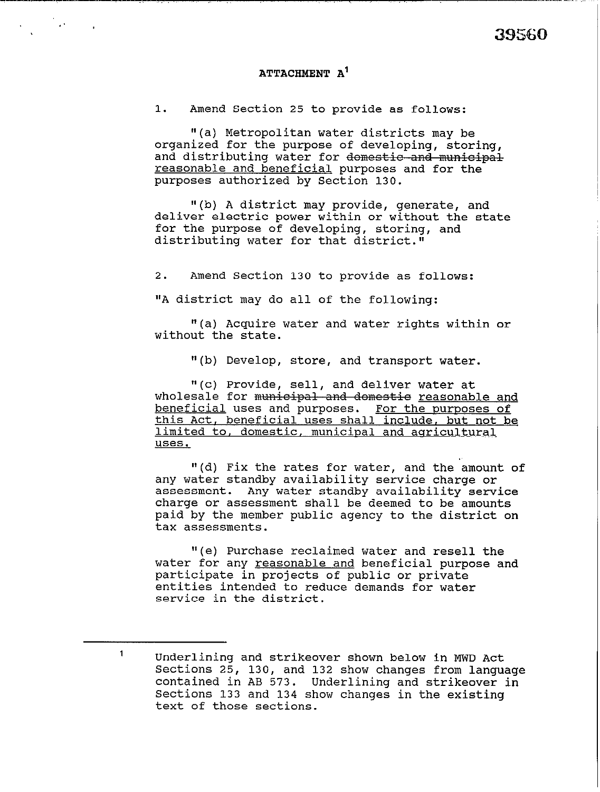## ATTACHMENT A'

1. Amend Section 25 to provide as follows:

"(a) Metropolitan water districts may be organized for the purpose of developing, storing, and distributing water for domestic and municipal reasonable and beneficial purposes and for the purposes authorized by Section 130.

l'(b) A district may provide, generate, and deliver electric power within or without the state for the purpose of developing, storing, and distributing water for that district."

2. Amend Section 130 to provide as follows:

"A district may do all of the following:

"(a) Acquire water and water rights within or without the state.

"(b) Develop, store, and transport water.

"(c) Provide, sell, and deliver water at wholesale for municipal and domestie reasonable and beneficial uses and purposes. For the purposes of this Act, beneficial uses shall include, but not be limited to, domestic, municipal and agricultural uses.

"(d) Fix the rates for water, and the amount of any water standby availability service charge or assessment. Any water standby availability service charge or assessment shall be deemed to be amounts paid by the member public agency to the district on tax assessments.

"(e) Purchase reclaimed water and resell the water for any reasonable and beneficial purpose and participate in projects of public or private entities intended to reduce demands for water service in the district.

<sup>1</sup> **<sup>1</sup>**Underlining and strikeover shown below in MWD Act Sections 25, 130, and 132 show changes from language contained in AB 573. Underlining and strikeover in Sections 133 and 134 show changes in the existing text of those sections.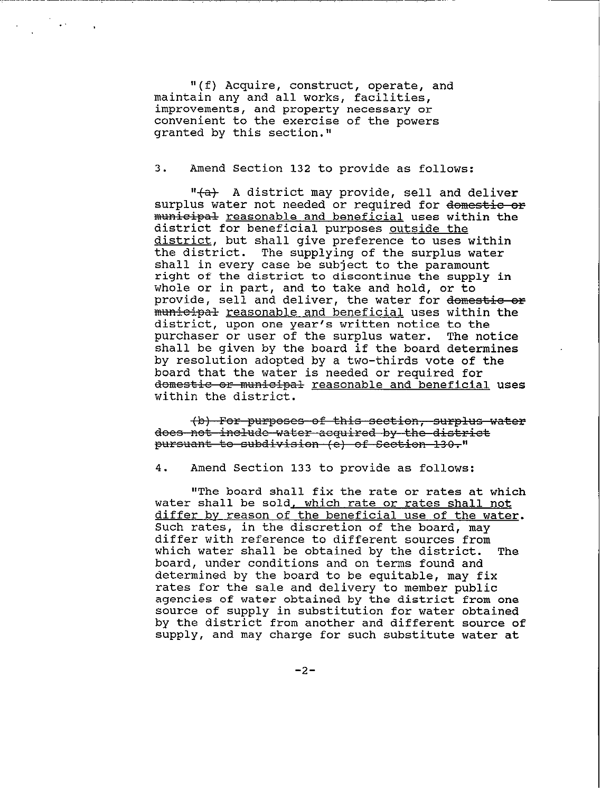"(f) Acquire, construct, operate, and maintain any and all works, facilities, improvements, and property necessary or convenient to the exercise of the powers granted by this section."

.,

 $\cdot$  .

3. Amend Section 132 to provide as follows:

 $"$  +  $\rightarrow$  A district may provide, sell and deliver surplus water not needed or required for domestic or municipal <u>reasonable and beneficial</u> uses within the district for beneficial purposes outside the district, but shall give preference to uses within<br>the district. The supplying of the surplus water The supplying of the surplus water shall in every case be subject to the paramount right of the district to discontinue the supply in whole or in part, and to take and hold, or to provide, sell and deliver, the water for domestic or nunicipal <u>reasonable and beneficial</u> uses within the district, upon one year's written notice to the<br>purchaser or user of the surplus water. The notice purchaser or user of the surplus water. shall be given by the board if the board determines by resolution adopted by a two-thirds vote of the board that the water is needed or required for domestic or municipal reasonable and beneficial uses within the district.

(b) For purposes of this section, surplus water does not include water acquired by the district pursuant to subdivision (e) of Section 130."

4. Amend Section 133 to provide as follows:

"The board shall fix the rate or rates at which water shall be sold, which rate or rates shall not differ by reason of the beneficial use of the water. Such rates, in the discretion of the board, may differ with reference to different sources from<br>which water shall be obtained by the district. The which water shall be obtained by the district. board, under conditions and on terms found and determined by the board to be equitable, may fix rates for the sale and delivery to member public agencies of water obtained by the district from one source of supply in substitution for water obtained by the district from another and different source of supply, and may charge for such substitute water at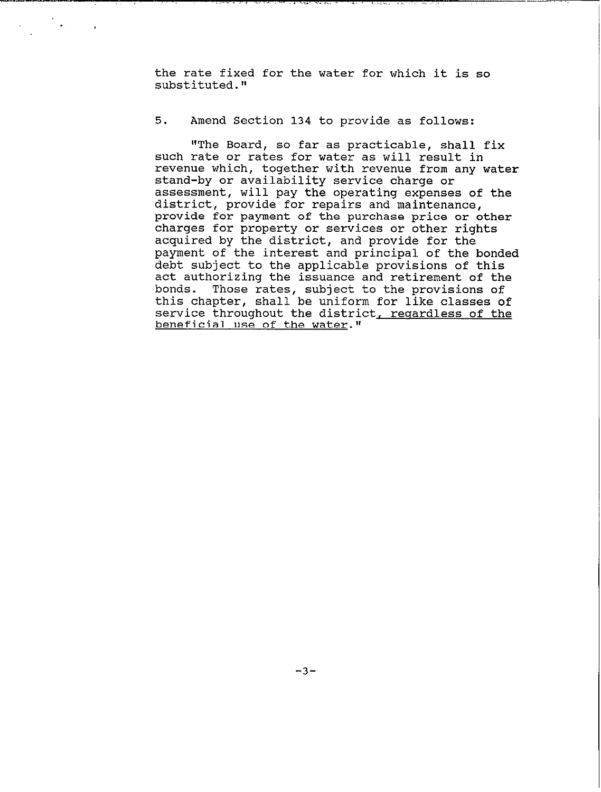**the rate fixed for the water for which it is so substituted."** 

..I ..-. .,.. ~,. . .I. 1,. ~.,

.

## 5. **Amend Section 134 to provide as follows:**

**"The Board, so far as practicable, shall fix such rate or rates for water as will result in revenue which, together with revenue from any water stand-by or availability service charge or assessment, will pay the operating expenses of the district, provide for repairs and maintenance, provide for payment of the purchase price or other charges for property or services or other rights acquired by the district, and provide for the payment of the interest and principal of the bonded debt subject to the applicable provisions of this act authorizing the issuance and retirement of the bonds. Those rates, subject to the provisions of this chapter, shall be uniform for like classes of**  service throughout the district, regardless of the **beneficial use of the water."**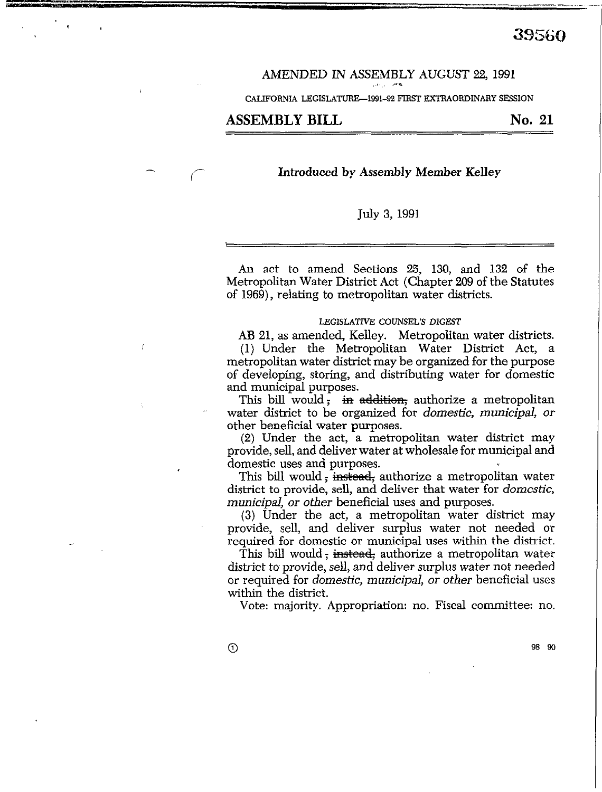#### AMENDED IN ASSEMBLY AUGUST 22,199l ,~>,,, >.C

CALIFORNIA LEGISLATURE-1991-92 FIRST EXTRAORDINARY SESSION

# ASSEMBLY BILL No. 21

 $\left($ 

I

 $\mathbf{r}$  , , , , , ,

### **Introduced by Assembly Member Kelley**

#### July 3, 1991

An act to amend Sections 25, 130, and 132 of the Metropolitan Water District Act (Chapter 209 of the Statutes of 1969), relating to metropolitan water districts.

#### **LEGISLATNE COUNSEL'S DIGEST**

**AB** 21, as amended, KeIley. Metropolitan water districts. **(1)** Under the Metropolitan Water District Act, a metropolitan water district may be organized for the purpose of developing, storing, and distributing water for domestic and municipal purposes.

This bill would; in addition, authorize a metropolitan water district to be organized for *domestic, municipal, or*  other beneficial water purposes.

(2) Under the act, a metropolitan water district may provide, sell, and deliver water at wholesale for municipal and domestic uses and purposes.

This bill would; instead; authorize a metropolitan water district to provide, sell, and deliver that water for *domestic, municipal, or other* beneficial uses and purposes.

(3) Under the act, a metropolitan water district may provide, sell, and deliver surplus water not needed or required for domestic or municipal uses within the district.

This bill would; instead; authorize a metropolitan water district to provide, sell, and deliver surplus water not needed or required for *domestic, municipal, or other* beneficial uses within the district.

Vote: majority. Appropriation: no. Fiscal committee: *no.* 

*0* **98 90**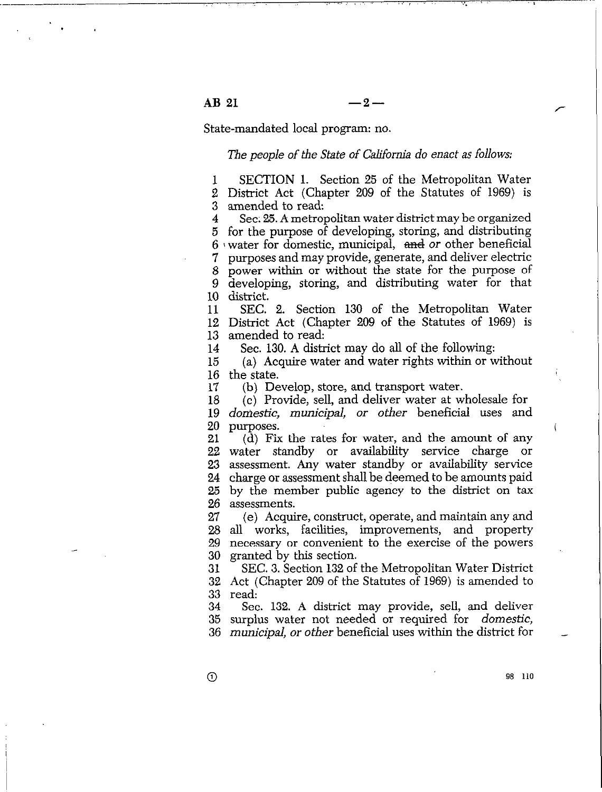$AB 21 -2-$ 

State-mandated local program: no.

The people of the State of California do enact as follows:

SECTION 1. Section 25 of the Metropolitan Water  $\mathbf{1}$ 2 District Act (Chapter 209 of the Statutes of 1969) is 3 amended to read:

 $\boldsymbol{4}$ Sec. 25. A metropolitan water district may be organized for the purpose of developing, storing, and distributing *5*   $6 \cdot$  water for domestic, municipal, and or other beneficial purposes and may provide, generate, and deliver electric *;*  power within or without the state for the purpose of 8 developing, storing, and distributing water for that *: 10*  district.

11 12 13 SEC. 2. Section 130 of the Metropolitan Water District Act (Chapter 209 of the Statutes of 1969) is amended to read:

14 Sec. 130. A district may do all of the following:

15 16 the state. (a) Acquire water and water rights within or without

17 (b) Develop, store, and transport water.

18 19 20 (c) Provide, sell, and deliver water at wholesale for *doniestic, municipal, or other* beneficial uses and purposes.

21 22 23 24 25 26 (d) Fix the rates for water, and the amount of any water standby or availability service charge or assessment. Any water standby or availability service charge or assessment shall be deemed to be amounts paid by the member public agency to the district on tax assessments.

27 28 29 30 (e) Acquire, construct, operate, and maintain any and ah works, facilities, improvements, and property necessary or convenient to the exercise of the powers granted by this section.

31 32 33 SEC. 3. Section 132 of the Metropolitan Water District Act (Chapter 209 of the Statutes of 1969) is amended to read:

34 35 36 *municipal, or other* beneficial uses within the district for \_ Sec. 132. A district may provide, sell, and deliver surplus water not needed or required for *domestic,* 

0.3 **110** 

 $\odot$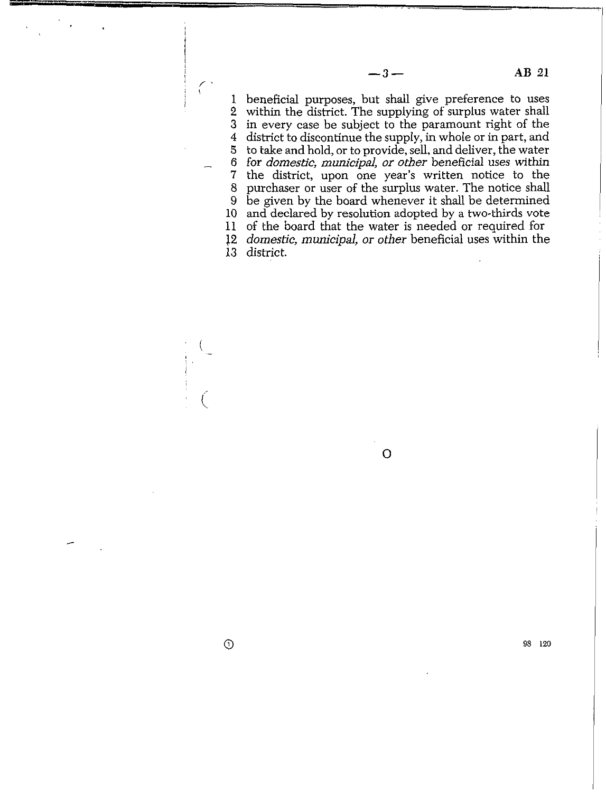$\frac{1}{2}$ 2 witbin the district. The supplying of surplus water shall *3*  in every case be subject to the paramount right of the *4*  district to discontinue the supply, in whole or in part, and *5 - 6*  for *domestic, municipal, or other beneficial* uses *within 7 :*  10 and declared by resolution adopted by a two-thirds vote 11 of the board that the water is needed or required for 12 *domestic, municipal, or other* beneficial uses within the beneficial purposes, but shall give preference to uses to take and hold, or to provide, sell, and deliver, the water the district, upon one year's written notice to the purchaser or user of the surplus water. The notice shall be given by the board whenever it shall be determined

**0** 

**13**  district.

 $\odot$ 

 $\frac{1}{2}$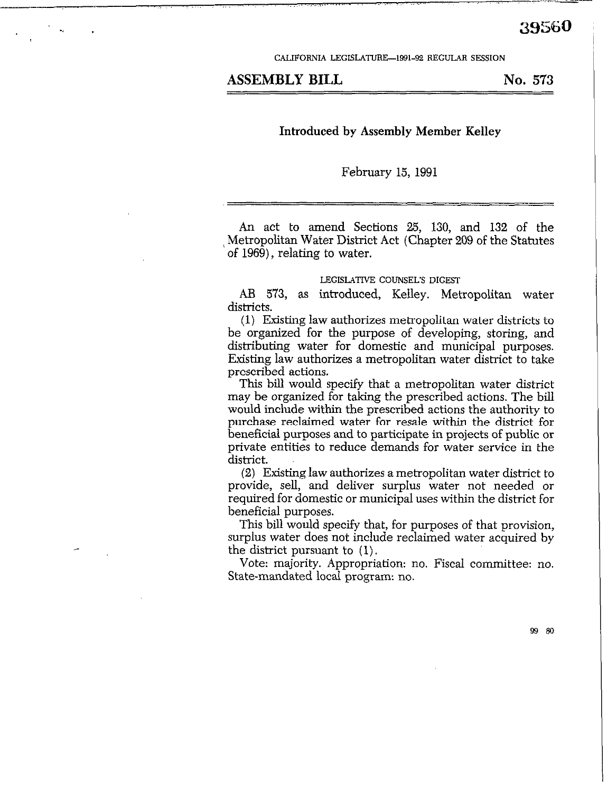CALIFORNIA LEGISLATURE-1991-92 REGULAR SESSION

# ASSEMBLY BILL No. 573

# Introduced by Assembly Member Kelley

February 15, 1991

An act to amend Sections 25, 130, and 132 of the / Metropolitan Water District Act (Chapter 209 of the Statutes of 1969), relating to water.

### LEGISLATIVE COUNSEL'S DIGEST

AB 573, as introduced, Kelley. Metropolitan water districts.

(1) Existing law authorizes metropolitan water districts to be organized for the purpose of developing, storing, and distributing water for domestic and municipal purposes. Existing law authorizes a metropolitan water district to take prescribed actions.

This bill would specify that a metropolitan water district may be organized for taking the prescribed actions. The bill would include within the prescribed actions the authority to purchase reclaimed water for resale within the district for beneficial purposes and to participate in projects of public or private entities to reduce demands for water service in the district.

 $(2)$  Existing law authorizes a metropolitan water district to provide, sell, and deliver surplus water not needed or required for domestic or municipal uses within the district for beneficial purposes.

This bill would specify that, for purposes of that provision, surplus water does not include reclaimed water acquired by the district pursuant to (1).

Vote: majority. Appropriation: no. Fiscal committee: no. State-mandated local program: no.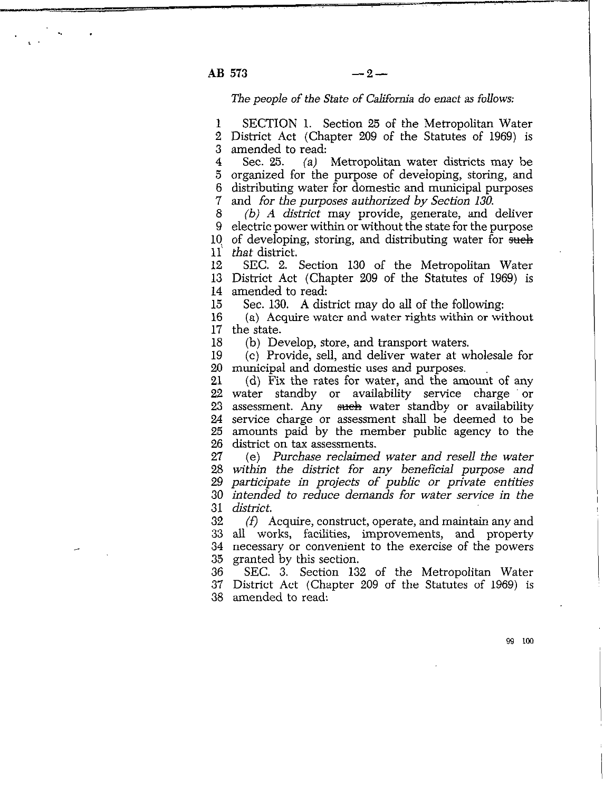**AB**   $573$  -2-

 $\sim$  .

L

The *people of the State of California do* enact as *follows:* 

1 2 District Act (Chapter 209 of the Statutes of 1969) is 3 SECTION 1. Section 25 of the Metropolitan Water amended to read:

4 5 6 7 Sec. 25. (a) Metropolitan water districts may be organized for the purpose of developing, storing, and distributing water for domestic and municipal purposes and *for the purposes authorized by Section 130.* 

8  $9<sup>°</sup>$ 10  $11^{\circ}$ *(b) A district* may provide, generate, and deliver electric power within or without the state for the purpose of developing, storing, and distributing water for such *that* district.

12 13 District Act (Chapter 209 of the Statutes of 1969) is 14 SEC. 2. Section 130 of the Metropolitan Water amended to read:

15 Sec. 130. A district may do all of the following:

16 17 (a) Acquire water and water rights within or without the state.

18 (b) Develop, store, and transport waters.

19 20 municipal and domestic uses and purposes. (c) Provide, sell, and deliver water at wholesale for

21 22 water standby or availability service charge or 23 24 25 26  $(d)$  Fix the rates for water, and the amount of any assessment. Any sueh water standby or availability service charge or assessment shall be deemed to be amounts paid by the member public agency to the district on tax assessments.

27 28 *within the district for any beneficial purpose and*  29 *participate in projects of public or private enh'ties*  30 *intended to reduce demands for water service in the*  31 (e) *Purchase reclaimed water and resell the water district.* 

32 33 34 35 *(f)* Acquire, construct, operate, and maintain any and all works, facilities, improvements, and property necessary or convenient to the exercise of the powers granted by this section.

36 37 District Act (Chapter 209 of the Statutes of 1969) is 38 amended to read: SEC. 3. Section 132 of the Metropolitan Water

99 100